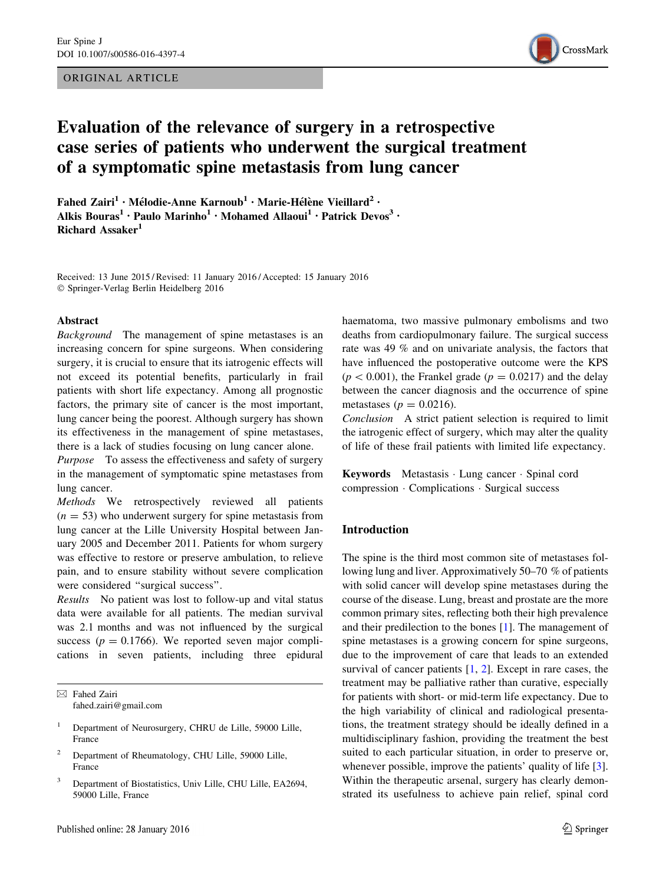ORIGINAL ARTICLE



# Evaluation of the relevance of surgery in a retrospective case series of patients who underwent the surgical treatment of a symptomatic spine metastasis from lung cancer

Fahed Zairi<sup>1</sup> • Mélodie-Anne Karnoub<sup>1</sup> • Marie-Hélène Vieillard<sup>2</sup> • Alkis Bouras<sup>1</sup> · Paulo Marinho<sup>1</sup> · Mohamed Allaoui<sup>1</sup> · Patrick Devos<sup>3</sup> · Richard Assaker<sup>1</sup>

Received: 13 June 2015 / Revised: 11 January 2016 / Accepted: 15 January 2016 - Springer-Verlag Berlin Heidelberg 2016

#### Abstract

Background The management of spine metastases is an increasing concern for spine surgeons. When considering surgery, it is crucial to ensure that its iatrogenic effects will not exceed its potential benefits, particularly in frail patients with short life expectancy. Among all prognostic factors, the primary site of cancer is the most important, lung cancer being the poorest. Although surgery has shown its effectiveness in the management of spine metastases, there is a lack of studies focusing on lung cancer alone.

Purpose To assess the effectiveness and safety of surgery in the management of symptomatic spine metastases from lung cancer.

Methods We retrospectively reviewed all patients  $(n = 53)$  who underwent surgery for spine metastasis from lung cancer at the Lille University Hospital between January 2005 and December 2011. Patients for whom surgery was effective to restore or preserve ambulation, to relieve pain, and to ensure stability without severe complication were considered ''surgical success''.

Results No patient was lost to follow-up and vital status data were available for all patients. The median survival was 2.1 months and was not influenced by the surgical success ( $p = 0.1766$ ). We reported seven major complications in seven patients, including three epidural

 $\boxtimes$  Fahed Zairi fahed.zairi@gmail.com

- <sup>1</sup> Department of Neurosurgery, CHRU de Lille, 59000 Lille, France
- <sup>2</sup> Department of Rheumatology, CHU Lille, 59000 Lille, France
- <sup>3</sup> Department of Biostatistics, Univ Lille, CHU Lille, EA2694, 59000 Lille, France

haematoma, two massive pulmonary embolisms and two deaths from cardiopulmonary failure. The surgical success rate was 49 % and on univariate analysis, the factors that have influenced the postoperative outcome were the KPS  $(p < 0.001)$ , the Frankel grade  $(p = 0.0217)$  and the delay between the cancer diagnosis and the occurrence of spine metastases ( $p = 0.0216$ ).

Conclusion A strict patient selection is required to limit the iatrogenic effect of surgery, which may alter the quality of life of these frail patients with limited life expectancy.

Keywords Metastasis - Lung cancer - Spinal cord compression - Complications - Surgical success

### Introduction

The spine is the third most common site of metastases following lung and liver. Approximatively 50–70 % of patients with solid cancer will develop spine metastases during the course of the disease. Lung, breast and prostate are the more common primary sites, reflecting both their high prevalence and their predilection to the bones [\[1](#page-6-0)]. The management of spine metastases is a growing concern for spine surgeons, due to the improvement of care that leads to an extended survival of cancer patients  $[1, 2]$  $[1, 2]$  $[1, 2]$  $[1, 2]$ . Except in rare cases, the treatment may be palliative rather than curative, especially for patients with short- or mid-term life expectancy. Due to the high variability of clinical and radiological presentations, the treatment strategy should be ideally defined in a multidisciplinary fashion, providing the treatment the best suited to each particular situation, in order to preserve or, whenever possible, improve the patients' quality of life [\[3](#page-6-0)]. Within the therapeutic arsenal, surgery has clearly demonstrated its usefulness to achieve pain relief, spinal cord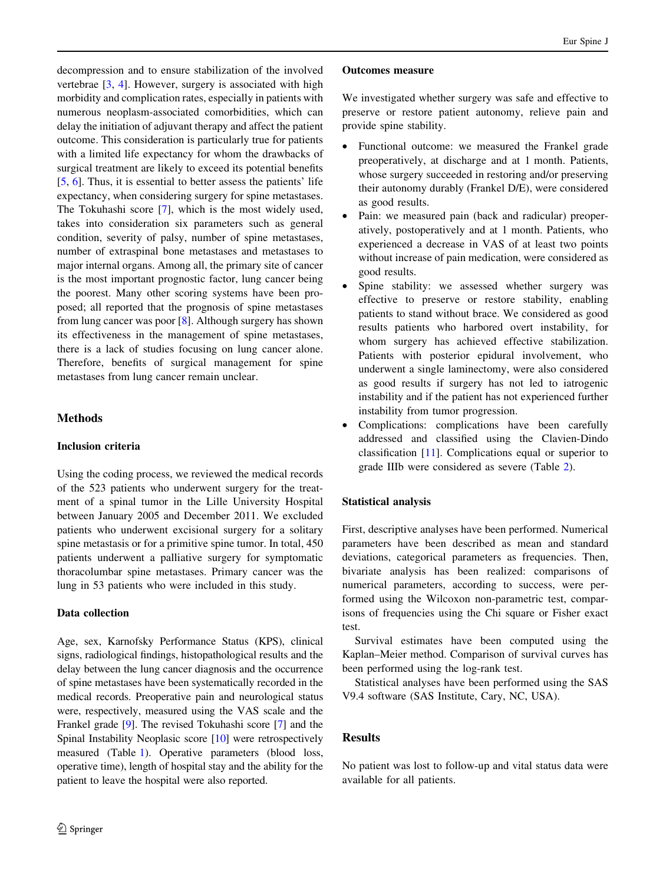decompression and to ensure stabilization of the involved vertebrae [[3](#page-6-0), [4\]](#page-6-0). However, surgery is associated with high morbidity and complication rates, especially in patients with numerous neoplasm-associated comorbidities, which can delay the initiation of adjuvant therapy and affect the patient outcome. This consideration is particularly true for patients with a limited life expectancy for whom the drawbacks of surgical treatment are likely to exceed its potential benefits [\[5](#page-6-0), [6\]](#page-6-0). Thus, it is essential to better assess the patients' life expectancy, when considering surgery for spine metastases. The Tokuhashi score [[7\]](#page-6-0), which is the most widely used, takes into consideration six parameters such as general condition, severity of palsy, number of spine metastases, number of extraspinal bone metastases and metastases to major internal organs. Among all, the primary site of cancer is the most important prognostic factor, lung cancer being the poorest. Many other scoring systems have been proposed; all reported that the prognosis of spine metastases from lung cancer was poor [[8\]](#page-6-0). Although surgery has shown its effectiveness in the management of spine metastases, there is a lack of studies focusing on lung cancer alone. Therefore, benefits of surgical management for spine metastases from lung cancer remain unclear.

# Methods

## Inclusion criteria

Using the coding process, we reviewed the medical records of the 523 patients who underwent surgery for the treatment of a spinal tumor in the Lille University Hospital between January 2005 and December 2011. We excluded patients who underwent excisional surgery for a solitary spine metastasis or for a primitive spine tumor. In total, 450 patients underwent a palliative surgery for symptomatic thoracolumbar spine metastases. Primary cancer was the lung in 53 patients who were included in this study.

# Data collection

Age, sex, Karnofsky Performance Status (KPS), clinical signs, radiological findings, histopathological results and the delay between the lung cancer diagnosis and the occurrence of spine metastases have been systematically recorded in the medical records. Preoperative pain and neurological status were, respectively, measured using the VAS scale and the Frankel grade [\[9](#page-6-0)]. The revised Tokuhashi score [\[7](#page-6-0)] and the Spinal Instability Neoplasic score [\[10\]](#page-6-0) were retrospectively measured (Table [1\)](#page-2-0). Operative parameters (blood loss, operative time), length of hospital stay and the ability for the patient to leave the hospital were also reported.

### Outcomes measure

We investigated whether surgery was safe and effective to preserve or restore patient autonomy, relieve pain and provide spine stability.

- Functional outcome: we measured the Frankel grade preoperatively, at discharge and at 1 month. Patients, whose surgery succeeded in restoring and/or preserving their autonomy durably (Frankel D/E), were considered as good results.
- Pain: we measured pain (back and radicular) preoperatively, postoperatively and at 1 month. Patients, who experienced a decrease in VAS of at least two points without increase of pain medication, were considered as good results.
- Spine stability: we assessed whether surgery was effective to preserve or restore stability, enabling patients to stand without brace. We considered as good results patients who harbored overt instability, for whom surgery has achieved effective stabilization. Patients with posterior epidural involvement, who underwent a single laminectomy, were also considered as good results if surgery has not led to iatrogenic instability and if the patient has not experienced further instability from tumor progression.
- Complications: complications have been carefully addressed and classified using the Clavien-Dindo classification [\[11](#page-6-0)]. Complications equal or superior to grade IIIb were considered as severe (Table [2](#page-2-0)).

## Statistical analysis

First, descriptive analyses have been performed. Numerical parameters have been described as mean and standard deviations, categorical parameters as frequencies. Then, bivariate analysis has been realized: comparisons of numerical parameters, according to success, were performed using the Wilcoxon non-parametric test, comparisons of frequencies using the Chi square or Fisher exact test.

Survival estimates have been computed using the Kaplan–Meier method. Comparison of survival curves has been performed using the log-rank test.

Statistical analyses have been performed using the SAS V9.4 software (SAS Institute, Cary, NC, USA).

# Results

No patient was lost to follow-up and vital status data were available for all patients.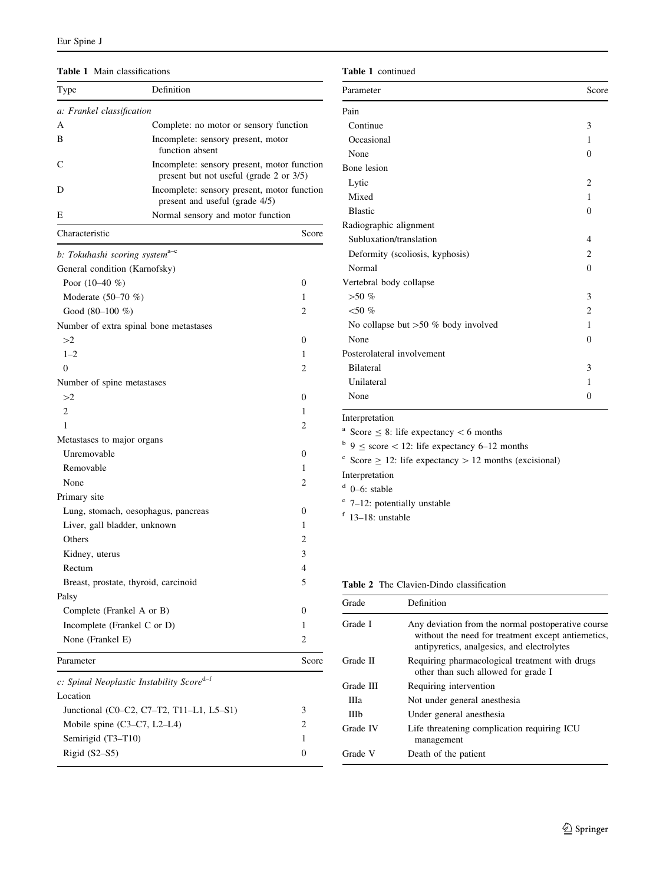#### <span id="page-2-0"></span>Table 1 Main classifications

| Type                                                  | Definition                                                                             |              |  |
|-------------------------------------------------------|----------------------------------------------------------------------------------------|--------------|--|
| a: Frankel classification                             |                                                                                        |              |  |
| A                                                     | Complete: no motor or sensory function                                                 |              |  |
| B                                                     | Incomplete: sensory present, motor<br>function absent                                  |              |  |
| C                                                     | Incomplete: sensory present, motor function<br>present but not useful (grade 2 or 3/5) |              |  |
| D                                                     | Incomplete: sensory present, motor function<br>present and useful (grade 4/5)          |              |  |
| Е                                                     | Normal sensory and motor function                                                      |              |  |
| Characteristic                                        |                                                                                        | Score        |  |
| b: Tokuhashi scoring system <sup>a-c</sup>            |                                                                                        |              |  |
| General condition (Karnofsky)                         |                                                                                        |              |  |
| Poor $(10-40\%$                                       |                                                                                        | 0            |  |
| Moderate $(50-70\%)$                                  |                                                                                        | 1            |  |
| Good $(80-100\% )$                                    |                                                                                        | 2            |  |
| Number of extra spinal bone metastases                |                                                                                        |              |  |
| >2                                                    |                                                                                        | 0            |  |
| $1 - 2$                                               |                                                                                        | 1            |  |
| $\theta$                                              |                                                                                        | 2            |  |
| Number of spine metastases                            |                                                                                        |              |  |
| >2                                                    |                                                                                        | 0            |  |
| 2                                                     |                                                                                        | 1            |  |
| 1                                                     |                                                                                        | 2            |  |
| Metastases to major organs                            |                                                                                        |              |  |
| Unremovable                                           |                                                                                        | 0            |  |
| Removable                                             |                                                                                        | 1            |  |
|                                                       |                                                                                        | 2            |  |
| None                                                  |                                                                                        |              |  |
| Primary site                                          |                                                                                        |              |  |
| Lung, stomach, oesophagus, pancreas                   |                                                                                        | 0            |  |
| Liver, gall bladder, unknown                          |                                                                                        | 1            |  |
| Others                                                |                                                                                        | 2            |  |
| Kidney, uterus                                        |                                                                                        | 3            |  |
| Rectum                                                |                                                                                        | 4            |  |
| Breast, prostate, thyroid, carcinoid                  |                                                                                        | 5            |  |
| Palsy                                                 |                                                                                        |              |  |
| Complete (Frankel A or B)                             |                                                                                        | $\mathbf{0}$ |  |
| Incomplete (Frankel C or D)                           |                                                                                        | 1            |  |
| None (Frankel E)                                      |                                                                                        | 2            |  |
| Parameter                                             |                                                                                        | Score        |  |
| c: Spinal Neoplastic Instability Score <sup>d-f</sup> |                                                                                        |              |  |
| Location                                              |                                                                                        |              |  |
|                                                       | Junctional (C0-C2, C7-T2, T11-L1, L5-S1)                                               | 3            |  |
| Mobile spine $(C3-C7, L2-L4)$                         |                                                                                        | 2            |  |
| Semirigid (T3-T10)                                    |                                                                                        | 1            |  |
| Rigid (S2-S5)                                         |                                                                                        | 0            |  |

#### Table 1 continued

| Parameter                              | Score    |
|----------------------------------------|----------|
| Pain                                   |          |
| Continue                               | 3        |
| Occasional                             | 1        |
| None                                   | 0        |
| Bone lesion                            |          |
| Lytic                                  | 2        |
| Mixed                                  | 1        |
| <b>Blastic</b>                         | $\theta$ |
| Radiographic alignment                 |          |
| Subluxation/translation                | 4        |
| Deformity (scoliosis, kyphosis)        | 2        |
| Normal                                 | $\theta$ |
| Vertebral body collapse                |          |
| $> 50 \%$                              | 3        |
| $<$ 50 %                               | 2        |
| No collapse but $>50 \%$ body involved | 1        |
| None                                   | $\Omega$ |
| Posterolateral involvement             |          |
| <b>Bilateral</b>                       | 3        |
| Unilateral                             | 1        |
| None                                   | $\Omega$ |

### Interpretation

<sup>a</sup> Score  $\leq$  8: life expectancy  $<$  6 months

 $b$  9  $\le$  score  $\lt$  12: life expectancy 6–12 months

 $\frac{c}{c}$  Score  $\ge$  12: life expectancy  $>$  12 months (excisional)

Interpretation

 $d$  0–6: stable

- <sup>e</sup> 7–12: potentially unstable
- <sup>f</sup> 13–18: unstable

# Table 2 The Clavien-Dindo classification

| Grade     | Definition                                                                                                                                             |
|-----------|--------------------------------------------------------------------------------------------------------------------------------------------------------|
| Grade I   | Any deviation from the normal postoperative course<br>without the need for treatment except antiemetics,<br>antipyretics, analgesics, and electrolytes |
| Grade II  | Requiring pharmacological treatment with drugs<br>other than such allowed for grade I                                                                  |
| Grade III | Requiring intervention                                                                                                                                 |
| Ша        | Not under general anesthesia                                                                                                                           |
| Шb        | Under general anesthesia                                                                                                                               |
| Grade IV  | Life threatening complication requiring ICU<br>management                                                                                              |
| Grade V   | Death of the patient                                                                                                                                   |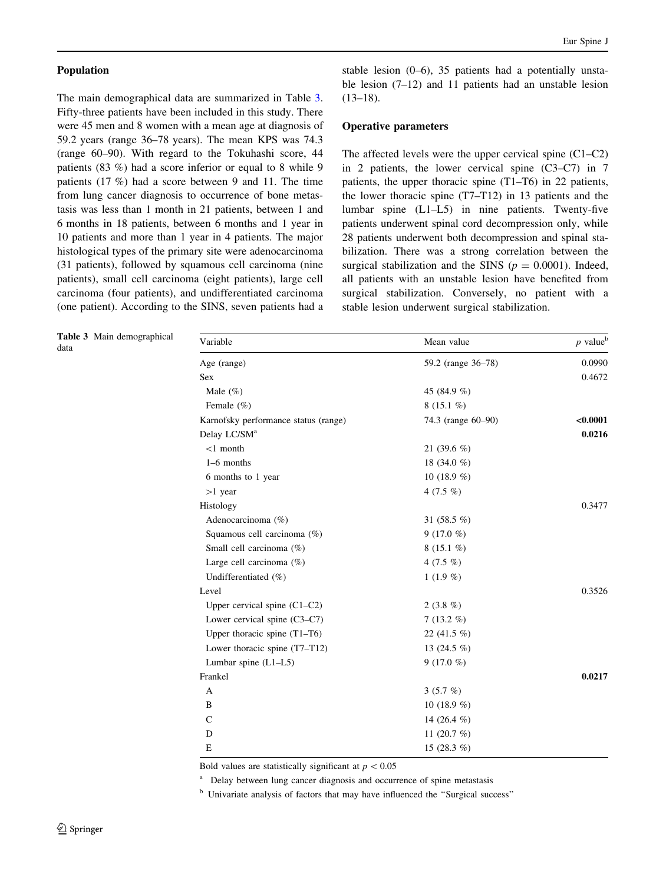### Population

The main demographical data are summarized in Table 3. Fifty-three patients have been included in this study. There were 45 men and 8 women with a mean age at diagnosis of 59.2 years (range 36–78 years). The mean KPS was 74.3 (range 60–90). With regard to the Tokuhashi score, 44 patients (83 %) had a score inferior or equal to 8 while 9 patients (17 %) had a score between 9 and 11. The time from lung cancer diagnosis to occurrence of bone metastasis was less than 1 month in 21 patients, between 1 and 6 months in 18 patients, between 6 months and 1 year in 10 patients and more than 1 year in 4 patients. The major histological types of the primary site were adenocarcinoma (31 patients), followed by squamous cell carcinoma (nine patients), small cell carcinoma (eight patients), large cell carcinoma (four patients), and undifferentiated carcinoma (one patient). According to the SINS, seven patients had a stable lesion (0–6), 35 patients had a potentially unstable lesion (7–12) and 11 patients had an unstable lesion  $(13-18).$ 

## Operative parameters

The affected levels were the upper cervical spine (C1–C2) in 2 patients, the lower cervical spine (C3–C7) in 7 patients, the upper thoracic spine (T1–T6) in 22 patients, the lower thoracic spine (T7–T12) in 13 patients and the lumbar spine (L1–L5) in nine patients. Twenty-five patients underwent spinal cord decompression only, while 28 patients underwent both decompression and spinal stabilization. There was a strong correlation between the surgical stabilization and the SINS ( $p = 0.0001$ ). Indeed, all patients with an unstable lesion have benefited from surgical stabilization. Conversely, no patient with a stable lesion underwent surgical stabilization.

| Table 3 Main demographical<br>data | Variable                             | Mean value         | $p$ value <sup>b</sup> |
|------------------------------------|--------------------------------------|--------------------|------------------------|
|                                    | Age (range)                          | 59.2 (range 36-78) | 0.0990                 |
|                                    | Sex                                  |                    | 0.4672                 |
|                                    | Male $(\%)$                          | 45 (84.9 %)        |                        |
|                                    | Female $(\% )$                       | 8 $(15.1\%)$       |                        |
|                                    | Karnofsky performance status (range) | 74.3 (range 60–90) | < 0.0001               |
|                                    | Delay LC/SM <sup>a</sup>             |                    | 0.0216                 |
|                                    | $<$ 1 month                          | 21 $(39.6\%)$      |                        |
|                                    | $1-6$ months                         | 18 $(34.0%$        |                        |
|                                    | 6 months to 1 year                   | 10 $(18.9 %)$      |                        |
|                                    | $>1$ year                            | 4 $(7.5\%)$        |                        |
|                                    | Histology                            |                    | 0.3477                 |
|                                    | Adenocarcinoma (%)                   | 31 $(58.5\%)$      |                        |
|                                    | Squamous cell carcinoma (%)          | 9 (17.0 $%$ )      |                        |
|                                    | Small cell carcinoma (%)             | $8(15.1\%)$        |                        |
|                                    | Large cell carcinoma (%)             | 4 $(7.5\%)$        |                        |
|                                    | Undifferentiated (%)                 | $1(1.9\%)$         |                        |
|                                    | Level                                |                    | 0.3526                 |
|                                    | Upper cervical spine $(C1-C2)$       | 2 $(3.8\%)$        |                        |
|                                    | Lower cervical spine (C3-C7)         | $7(13.2\%)$        |                        |
|                                    | Upper thoracic spine $(T1-T6)$       | 22 $(41.5\%$       |                        |
|                                    | Lower thoracic spine (T7-T12)        | 13 (24.5 %)        |                        |
|                                    | Lumbar spine $(L1-L5)$               | 9 (17.0 %)         |                        |
|                                    | Frankel                              |                    | 0.0217                 |
|                                    | A                                    | $3(5.7\%)$         |                        |
|                                    | B                                    | 10 $(18.9\%$       |                        |
|                                    | $\mathsf{C}$                         | 14 $(26.4\%)$      |                        |
|                                    | D                                    | 11 $(20.7 \%)$     |                        |
|                                    | E                                    | 15 $(28.3\%)$      |                        |

Bold values are statistically significant at  $p < 0.05$ 

<sup>a</sup> Delay between lung cancer diagnosis and occurrence of spine metastasis

<sup>b</sup> Univariate analysis of factors that may have influenced the ''Surgical success''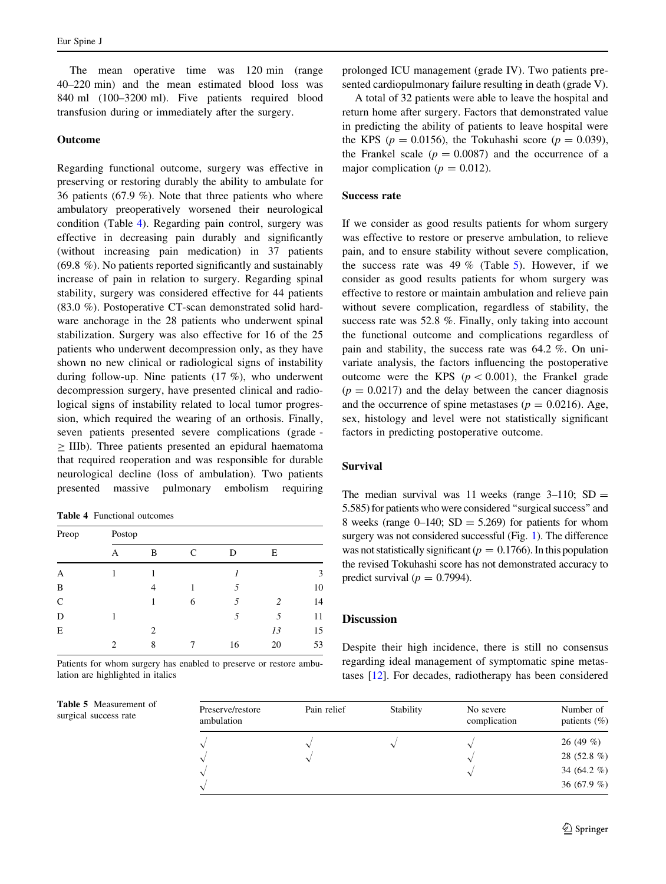<span id="page-4-0"></span>The mean operative time was 120 min (range 40–220 min) and the mean estimated blood loss was 840 ml (100–3200 ml). Five patients required blood transfusion during or immediately after the surgery.

### Outcome

Regarding functional outcome, surgery was effective in preserving or restoring durably the ability to ambulate for 36 patients (67.9 %). Note that three patients who where ambulatory preoperatively worsened their neurological condition (Table 4). Regarding pain control, surgery was effective in decreasing pain durably and significantly (without increasing pain medication) in 37 patients (69.8 %). No patients reported significantly and sustainably increase of pain in relation to surgery. Regarding spinal stability, surgery was considered effective for 44 patients (83.0 %). Postoperative CT-scan demonstrated solid hardware anchorage in the 28 patients who underwent spinal stabilization. Surgery was also effective for 16 of the 25 patients who underwent decompression only, as they have shown no new clinical or radiological signs of instability during follow-up. Nine patients (17 %), who underwent decompression surgery, have presented clinical and radiological signs of instability related to local tumor progression, which required the wearing of an orthosis. Finally, seven patients presented severe complications (grade -  $>$  IIIb). Three patients presented an epidural haematoma that required reoperation and was responsible for durable neurological decline (loss of ambulation). Two patients presented massive pulmonary embolism requiring

Table 4 Functional outcomes

Table 5 Measurement of surgical success rate

| Preop         | Postop |                |   |    |    |    |
|---------------|--------|----------------|---|----|----|----|
|               | А      | B              | C | D  | Е  |    |
| A             |        |                |   |    |    | 3  |
| B             |        | 4              |   | 5  |    | 10 |
| $\mathcal{C}$ |        |                | 6 | 5  | 2  | 14 |
| D             |        |                |   | 5  | 5  | 11 |
| Ε             |        | $\overline{c}$ |   |    | 13 | 15 |
|               | 2      | 8              |   | 16 | 20 | 53 |

Patients for whom surgery has enabled to preserve or restore ambulation are highlighted in italics

prolonged ICU management (grade IV). Two patients presented cardiopulmonary failure resulting in death (grade V).

A total of 32 patients were able to leave the hospital and return home after surgery. Factors that demonstrated value in predicting the ability of patients to leave hospital were the KPS ( $p = 0.0156$ ), the Tokuhashi score ( $p = 0.039$ ), the Frankel scale  $(p = 0.0087)$  and the occurrence of a major complication ( $p = 0.012$ ).

#### Success rate

If we consider as good results patients for whom surgery was effective to restore or preserve ambulation, to relieve pain, and to ensure stability without severe complication, the success rate was 49  $%$  (Table 5). However, if we consider as good results patients for whom surgery was effective to restore or maintain ambulation and relieve pain without severe complication, regardless of stability, the success rate was 52.8 %. Finally, only taking into account the functional outcome and complications regardless of pain and stability, the success rate was 64.2 %. On univariate analysis, the factors influencing the postoperative outcome were the KPS ( $p < 0.001$ ), the Frankel grade  $(p = 0.0217)$  and the delay between the cancer diagnosis and the occurrence of spine metastases ( $p = 0.0216$ ). Age, sex, histology and level were not statistically significant factors in predicting postoperative outcome.

### Survival

The median survival was 11 weeks (range  $3-110$ ; SD = 5.585) for patients who were considered ''surgical success'' and 8 weeks (range  $0-140$ ; SD = 5.269) for patients for whom surgery was not considered successful (Fig. [1](#page-5-0)). The difference was not statistically significant ( $p = 0.1766$ ). In this population the revised Tokuhashi score has not demonstrated accuracy to predict survival ( $p = 0.7994$ ).

# **Discussion**

Despite their high incidence, there is still no consensus regarding ideal management of symptomatic spine metastases [[12](#page-6-0)]. For decades, radiotherapy has been considered

| Preserve/restore<br>ambulation | Pain relief | Stability | No severe<br>complication | Number of<br>patients $(\%)$ |
|--------------------------------|-------------|-----------|---------------------------|------------------------------|
|                                |             |           |                           | 26(49%)                      |
|                                |             |           |                           | 28 (52.8 %)                  |
|                                |             |           |                           | 34 (64.2 $%$ )               |
|                                |             |           |                           | 36 (67.9 $%$ )               |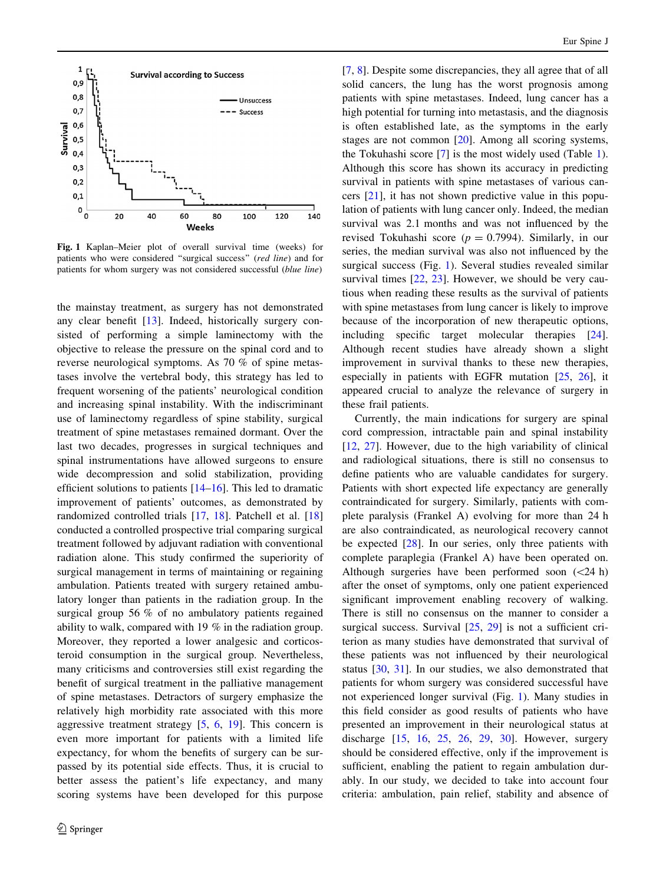<span id="page-5-0"></span>

Fig. 1 Kaplan–Meier plot of overall survival time (weeks) for patients who were considered "surgical success" (red line) and for patients for whom surgery was not considered successful (blue line)

the mainstay treatment, as surgery has not demonstrated any clear benefit [[13\]](#page-6-0). Indeed, historically surgery consisted of performing a simple laminectomy with the objective to release the pressure on the spinal cord and to reverse neurological symptoms. As 70 % of spine metastases involve the vertebral body, this strategy has led to frequent worsening of the patients' neurological condition and increasing spinal instability. With the indiscriminant use of laminectomy regardless of spine stability, surgical treatment of spine metastases remained dormant. Over the last two decades, progresses in surgical techniques and spinal instrumentations have allowed surgeons to ensure wide decompression and solid stabilization, providing efficient solutions to patients [[14–16\]](#page-6-0). This led to dramatic improvement of patients' outcomes, as demonstrated by randomized controlled trials [[17,](#page-6-0) [18](#page-7-0)]. Patchell et al. [[18\]](#page-7-0) conducted a controlled prospective trial comparing surgical treatment followed by adjuvant radiation with conventional radiation alone. This study confirmed the superiority of surgical management in terms of maintaining or regaining ambulation. Patients treated with surgery retained ambulatory longer than patients in the radiation group. In the surgical group 56 % of no ambulatory patients regained ability to walk, compared with 19 % in the radiation group. Moreover, they reported a lower analgesic and corticosteroid consumption in the surgical group. Nevertheless, many criticisms and controversies still exist regarding the benefit of surgical treatment in the palliative management of spine metastases. Detractors of surgery emphasize the relatively high morbidity rate associated with this more aggressive treatment strategy  $[5, 6, 19]$  $[5, 6, 19]$  $[5, 6, 19]$  $[5, 6, 19]$  $[5, 6, 19]$  $[5, 6, 19]$ . This concern is even more important for patients with a limited life expectancy, for whom the benefits of surgery can be surpassed by its potential side effects. Thus, it is crucial to better assess the patient's life expectancy, and many scoring systems have been developed for this purpose [\[7](#page-6-0), [8\]](#page-6-0). Despite some discrepancies, they all agree that of all solid cancers, the lung has the worst prognosis among patients with spine metastases. Indeed, lung cancer has a high potential for turning into metastasis, and the diagnosis is often established late, as the symptoms in the early stages are not common [\[20](#page-7-0)]. Among all scoring systems, the Tokuhashi score [[7\]](#page-6-0) is the most widely used (Table [1](#page-2-0)). Although this score has shown its accuracy in predicting survival in patients with spine metastases of various cancers [\[21](#page-7-0)], it has not shown predictive value in this population of patients with lung cancer only. Indeed, the median survival was 2.1 months and was not influenced by the revised Tokuhashi score ( $p = 0.7994$ ). Similarly, in our series, the median survival was also not influenced by the surgical success (Fig. 1). Several studies revealed similar survival times [\[22](#page-7-0), [23](#page-7-0)]. However, we should be very cautious when reading these results as the survival of patients with spine metastases from lung cancer is likely to improve because of the incorporation of new therapeutic options, including specific target molecular therapies [\[24](#page-7-0)]. Although recent studies have already shown a slight improvement in survival thanks to these new therapies, especially in patients with EGFR mutation [[25,](#page-7-0) [26](#page-7-0)], it appeared crucial to analyze the relevance of surgery in these frail patients.

Currently, the main indications for surgery are spinal cord compression, intractable pain and spinal instability [\[12](#page-6-0), [27\]](#page-7-0). However, due to the high variability of clinical and radiological situations, there is still no consensus to define patients who are valuable candidates for surgery. Patients with short expected life expectancy are generally contraindicated for surgery. Similarly, patients with complete paralysis (Frankel A) evolving for more than 24 h are also contraindicated, as neurological recovery cannot be expected [[28](#page-7-0)]. In our series, only three patients with complete paraplegia (Frankel A) have been operated on. Although surgeries have been performed soon  $(<24 h)$ after the onset of symptoms, only one patient experienced significant improvement enabling recovery of walking. There is still no consensus on the manner to consider a surgical success. Survival  $[25, 29]$  $[25, 29]$  $[25, 29]$  is not a sufficient criterion as many studies have demonstrated that survival of these patients was not influenced by their neurological status [\[30](#page-7-0), [31](#page-7-0)]. In our studies, we also demonstrated that patients for whom surgery was considered successful have not experienced longer survival (Fig. 1). Many studies in this field consider as good results of patients who have presented an improvement in their neurological status at discharge [[15,](#page-6-0) [16,](#page-6-0) [25](#page-7-0), [26,](#page-7-0) [29](#page-7-0), [30](#page-7-0)]. However, surgery should be considered effective, only if the improvement is sufficient, enabling the patient to regain ambulation durably. In our study, we decided to take into account four criteria: ambulation, pain relief, stability and absence of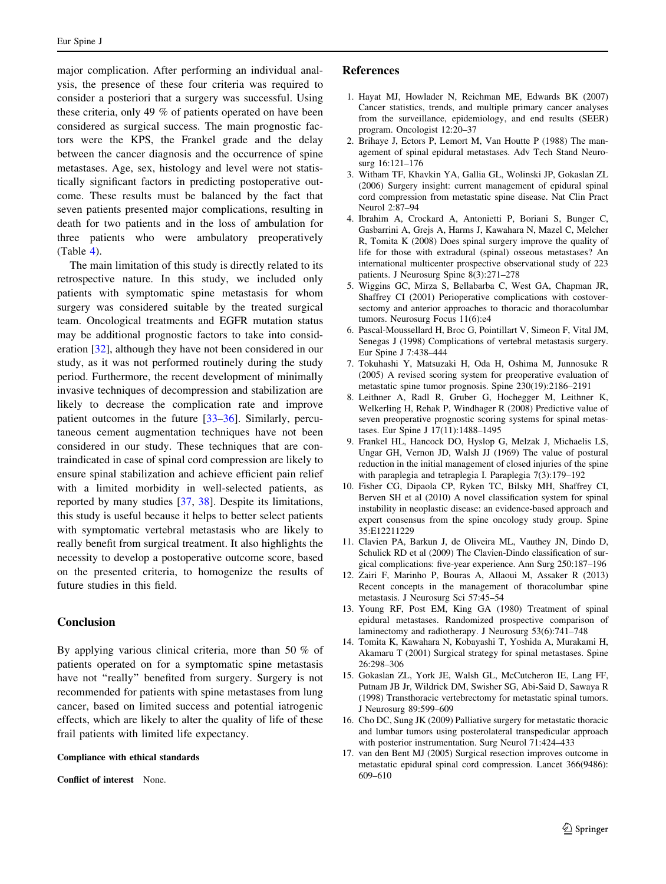<span id="page-6-0"></span>major complication. After performing an individual analysis, the presence of these four criteria was required to consider a posteriori that a surgery was successful. Using these criteria, only 49 % of patients operated on have been considered as surgical success. The main prognostic factors were the KPS, the Frankel grade and the delay between the cancer diagnosis and the occurrence of spine metastases. Age, sex, histology and level were not statistically significant factors in predicting postoperative outcome. These results must be balanced by the fact that seven patients presented major complications, resulting in death for two patients and in the loss of ambulation for three patients who were ambulatory preoperatively (Table [4](#page-4-0)).

The main limitation of this study is directly related to its retrospective nature. In this study, we included only patients with symptomatic spine metastasis for whom surgery was considered suitable by the treated surgical team. Oncological treatments and EGFR mutation status may be additional prognostic factors to take into consideration [[32\]](#page-7-0), although they have not been considered in our study, as it was not performed routinely during the study period. Furthermore, the recent development of minimally invasive techniques of decompression and stabilization are likely to decrease the complication rate and improve patient outcomes in the future [[33–36\]](#page-7-0). Similarly, percutaneous cement augmentation techniques have not been considered in our study. These techniques that are contraindicated in case of spinal cord compression are likely to ensure spinal stabilization and achieve efficient pain relief with a limited morbidity in well-selected patients, as reported by many studies [[37,](#page-7-0) [38](#page-7-0)]. Despite its limitations, this study is useful because it helps to better select patients with symptomatic vertebral metastasis who are likely to really benefit from surgical treatment. It also highlights the necessity to develop a postoperative outcome score, based on the presented criteria, to homogenize the results of future studies in this field.

## Conclusion

By applying various clinical criteria, more than 50 % of patients operated on for a symptomatic spine metastasis have not "really" benefited from surgery. Surgery is not recommended for patients with spine metastases from lung cancer, based on limited success and potential iatrogenic effects, which are likely to alter the quality of life of these frail patients with limited life expectancy.

#### Compliance with ethical standards

Conflict of interest None.

### References

- 1. Hayat MJ, Howlader N, Reichman ME, Edwards BK (2007) Cancer statistics, trends, and multiple primary cancer analyses from the surveillance, epidemiology, and end results (SEER) program. Oncologist 12:20–37
- 2. Brihaye J, Ectors P, Lemort M, Van Houtte P (1988) The management of spinal epidural metastases. Adv Tech Stand Neurosurg 16:121–176
- 3. Witham TF, Khavkin YA, Gallia GL, Wolinski JP, Gokaslan ZL (2006) Surgery insight: current management of epidural spinal cord compression from metastatic spine disease. Nat Clin Pract Neurol 2:87–94
- 4. Ibrahim A, Crockard A, Antonietti P, Boriani S, Bunger C, Gasbarrini A, Grejs A, Harms J, Kawahara N, Mazel C, Melcher R, Tomita K (2008) Does spinal surgery improve the quality of life for those with extradural (spinal) osseous metastases? An international multicenter prospective observational study of 223 patients. J Neurosurg Spine 8(3):271–278
- 5. Wiggins GC, Mirza S, Bellabarba C, West GA, Chapman JR, Shaffrey CI (2001) Perioperative complications with costoversectomy and anterior approaches to thoracic and thoracolumbar tumors. Neurosurg Focus 11(6):e4
- 6. Pascal-Moussellard H, Broc G, Pointillart V, Simeon F, Vital JM, Senegas J (1998) Complications of vertebral metastasis surgery. Eur Spine J 7:438–444
- 7. Tokuhashi Y, Matsuzaki H, Oda H, Oshima M, Junnosuke R (2005) A revised scoring system for preoperative evaluation of metastatic spine tumor prognosis. Spine 230(19):2186–2191
- 8. Leithner A, Radl R, Gruber G, Hochegger M, Leithner K, Welkerling H, Rehak P, Windhager R (2008) Predictive value of seven preoperative prognostic scoring systems for spinal metastases. Eur Spine J 17(11):1488–1495
- 9. Frankel HL, Hancock DO, Hyslop G, Melzak J, Michaelis LS, Ungar GH, Vernon JD, Walsh JJ (1969) The value of postural reduction in the initial management of closed injuries of the spine with paraplegia and tetraplegia I. Paraplegia 7(3):179–192
- 10. Fisher CG, Dipaola CP, Ryken TC, Bilsky MH, Shaffrey CI, Berven SH et al (2010) A novel classification system for spinal instability in neoplastic disease: an evidence-based approach and expert consensus from the spine oncology study group. Spine 35:E12211229
- 11. Clavien PA, Barkun J, de Oliveira ML, Vauthey JN, Dindo D, Schulick RD et al (2009) The Clavien-Dindo classification of surgical complications: five-year experience. Ann Surg 250:187–196
- 12. Zairi F, Marinho P, Bouras A, Allaoui M, Assaker R (2013) Recent concepts in the management of thoracolumbar spine metastasis. J Neurosurg Sci 57:45–54
- 13. Young RF, Post EM, King GA (1980) Treatment of spinal epidural metastases. Randomized prospective comparison of laminectomy and radiotherapy. J Neurosurg 53(6):741–748
- 14. Tomita K, Kawahara N, Kobayashi T, Yoshida A, Murakami H, Akamaru T (2001) Surgical strategy for spinal metastases. Spine 26:298–306
- 15. Gokaslan ZL, York JE, Walsh GL, McCutcheron IE, Lang FF, Putnam JB Jr, Wildrick DM, Swisher SG, Abi-Said D, Sawaya R (1998) Transthoracic vertebrectomy for metastatic spinal tumors. J Neurosurg 89:599–609
- 16. Cho DC, Sung JK (2009) Palliative surgery for metastatic thoracic and lumbar tumors using posterolateral transpedicular approach with posterior instrumentation. Surg Neurol 71:424–433
- 17. van den Bent MJ (2005) Surgical resection improves outcome in metastatic epidural spinal cord compression. Lancet 366(9486): 609–610